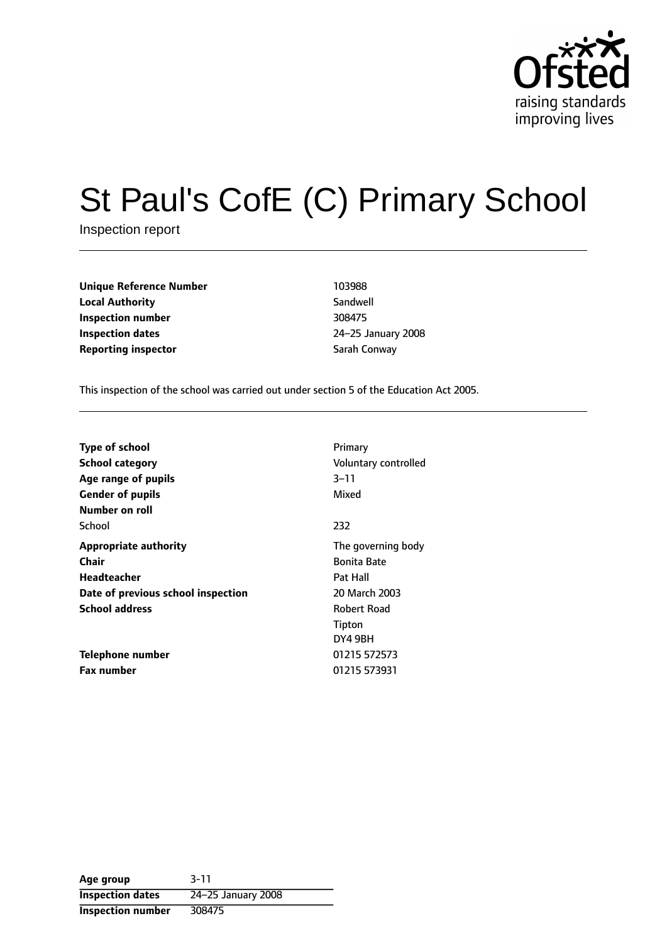

# St Paul's CofE (C) Primary School

Inspection report

| <b>Unique Reference Number</b> | 103988        |
|--------------------------------|---------------|
| <b>Local Authority</b>         | Sandwell      |
| Inspection number              | 308475        |
| <b>Inspection dates</b>        | 24-25 January |
| <b>Reporting inspector</b>     | Sarah Conway  |

**Sandwell Inspection number** 308475 **Inspection dates** 2425 January 2008

This inspection of the school was carried out under section 5 of the Education Act 2005.

| <b>Type of school</b><br><b>School category</b><br>Age range of pupils<br><b>Gender of pupils</b><br>Number on roll | Primary<br>Voluntary controlled<br>$3 - 11$<br>Mixed                  |
|---------------------------------------------------------------------------------------------------------------------|-----------------------------------------------------------------------|
| School                                                                                                              | 232                                                                   |
| <b>Appropriate authority</b><br>Chair<br>Headteacher<br>Date of previous school inspection                          | The governing body<br><b>Bonita Bate</b><br>Pat Hall<br>20 March 2003 |
| <b>School address</b>                                                                                               | Robert Road<br>Tipton<br>DY4 9BH                                      |
| Telephone number<br><b>Fax number</b>                                                                               | 01215 572573<br>01215 573931                                          |

**Age group** 3-11 **Inspection dates** 24-25 January 2008 **Inspection number** 308475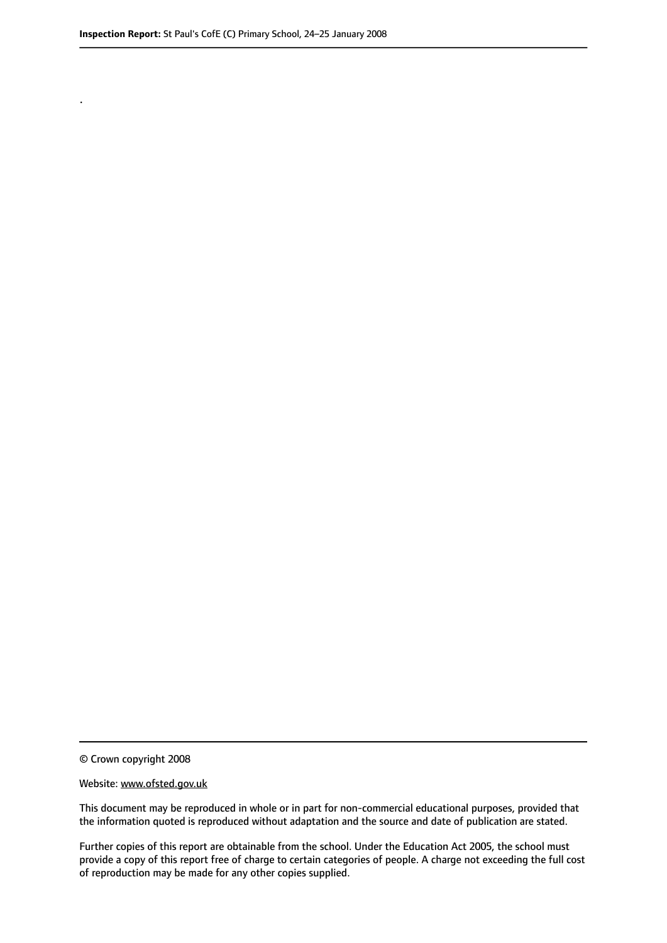.

© Crown copyright 2008

#### Website: www.ofsted.gov.uk

This document may be reproduced in whole or in part for non-commercial educational purposes, provided that the information quoted is reproduced without adaptation and the source and date of publication are stated.

Further copies of this report are obtainable from the school. Under the Education Act 2005, the school must provide a copy of this report free of charge to certain categories of people. A charge not exceeding the full cost of reproduction may be made for any other copies supplied.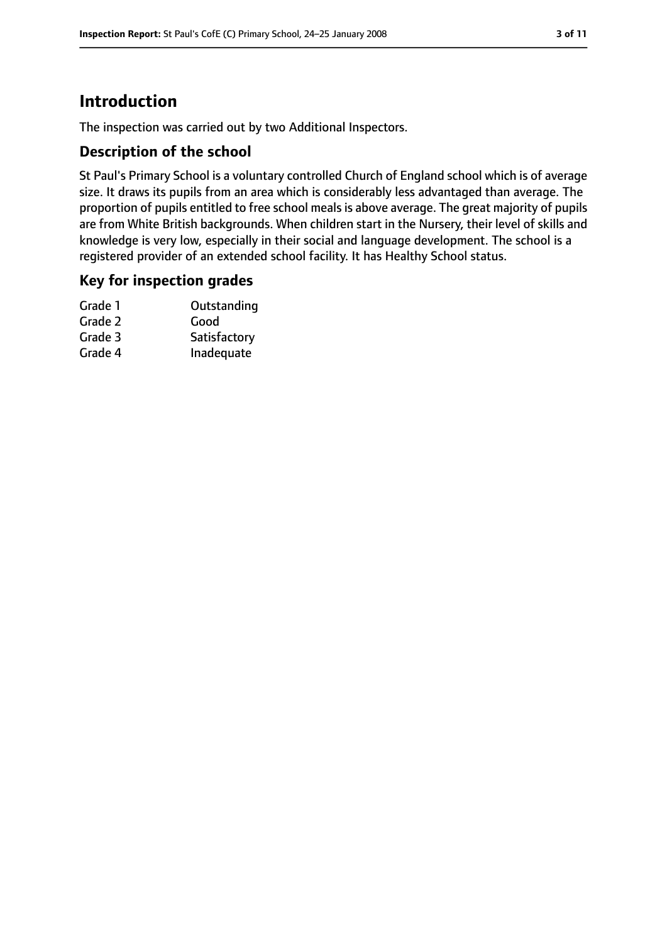## **Introduction**

The inspection was carried out by two Additional Inspectors.

#### **Description of the school**

St Paul's Primary School is a voluntary controlled Church of England school which is of average size. It draws its pupils from an area which is considerably less advantaged than average. The proportion of pupils entitled to free school meals is above average. The great majority of pupils are from White British backgrounds. When children start in the Nursery, their level of skills and knowledge is very low, especially in their social and language development. The school is a registered provider of an extended school facility. It has Healthy School status.

#### **Key for inspection grades**

| Grade 1 | Outstanding  |
|---------|--------------|
| Grade 2 | Good         |
| Grade 3 | Satisfactory |
| Grade 4 | Inadequate   |
|         |              |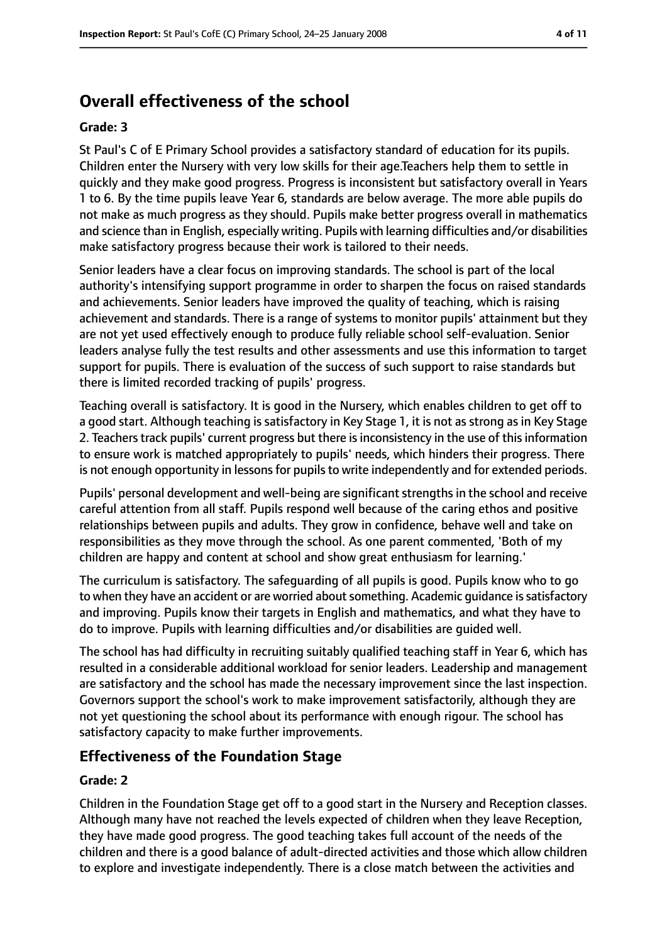## **Overall effectiveness of the school**

#### **Grade: 3**

St Paul's C of E Primary School provides a satisfactory standard of education for its pupils. Children enter the Nursery with very low skills for their age.Teachers help them to settle in quickly and they make good progress. Progress is inconsistent but satisfactory overall in Years 1 to 6. By the time pupils leave Year 6, standards are below average. The more able pupils do not make as much progress as they should. Pupils make better progress overall in mathematics and science than in English, especially writing. Pupils with learning difficulties and/or disabilities make satisfactory progress because their work is tailored to their needs.

Senior leaders have a clear focus on improving standards. The school is part of the local authority's intensifying support programme in order to sharpen the focus on raised standards and achievements. Senior leaders have improved the quality of teaching, which is raising achievement and standards. There is a range of systems to monitor pupils' attainment but they are not yet used effectively enough to produce fully reliable school self-evaluation. Senior leaders analyse fully the test results and other assessments and use this information to target support for pupils. There is evaluation of the success of such support to raise standards but there is limited recorded tracking of pupils' progress.

Teaching overall is satisfactory. It is good in the Nursery, which enables children to get off to a good start. Although teaching is satisfactory in Key Stage 1, it is not as strong as in Key Stage 2. Teachers track pupils' current progress but there is inconsistency in the use of this information to ensure work is matched appropriately to pupils' needs, which hinders their progress. There is not enough opportunity in lessons for pupils to write independently and for extended periods.

Pupils' personal development and well-being are significant strengths in the school and receive careful attention from all staff. Pupils respond well because of the caring ethos and positive relationships between pupils and adults. They grow in confidence, behave well and take on responsibilities as they move through the school. As one parent commented, 'Both of my children are happy and content at school and show great enthusiasm for learning.'

The curriculum is satisfactory. The safeguarding of all pupils is good. Pupils know who to go to when they have an accident or are worried about something. Academic quidance is satisfactory and improving. Pupils know their targets in English and mathematics, and what they have to do to improve. Pupils with learning difficulties and/or disabilities are guided well.

The school has had difficulty in recruiting suitably qualified teaching staff in Year 6, which has resulted in a considerable additional workload for senior leaders. Leadership and management are satisfactory and the school has made the necessary improvement since the last inspection. Governors support the school's work to make improvement satisfactorily, although they are not yet questioning the school about its performance with enough rigour. The school has satisfactory capacity to make further improvements.

#### **Effectiveness of the Foundation Stage**

#### **Grade: 2**

Children in the Foundation Stage get off to a good start in the Nursery and Reception classes. Although many have not reached the levels expected of children when they leave Reception, they have made good progress. The good teaching takes full account of the needs of the children and there is a good balance of adult-directed activities and those which allow children to explore and investigate independently. There is a close match between the activities and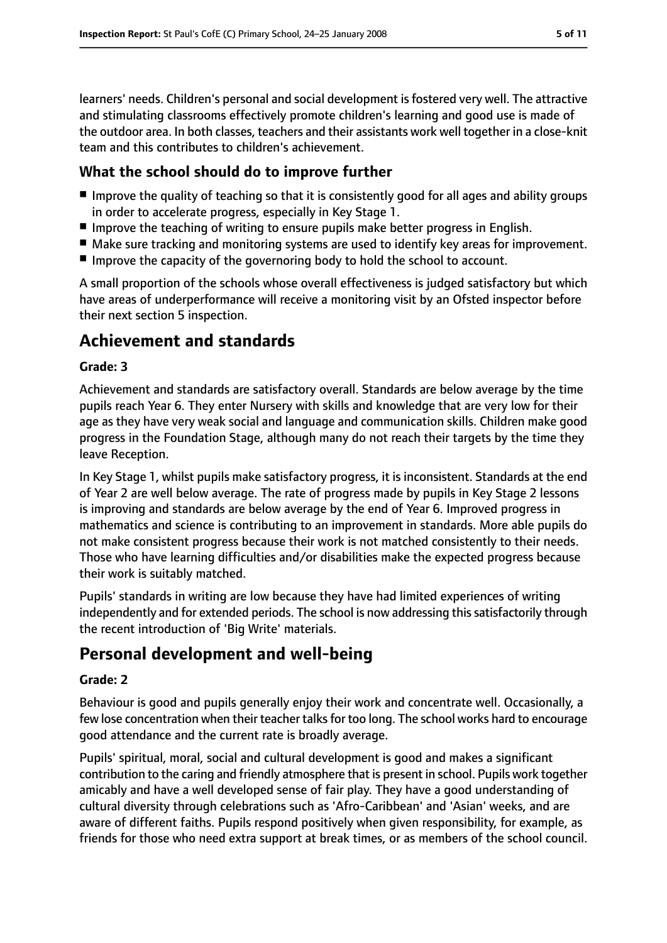learners' needs. Children's personal and social development is fostered very well. The attractive and stimulating classrooms effectively promote children's learning and good use is made of the outdoor area. In both classes, teachers and their assistants work well together in a close-knit team and this contributes to children's achievement.

#### **What the school should do to improve further**

- Improve the quality of teaching so that it is consistently good for all ages and ability groups in order to accelerate progress, especially in Key Stage 1.
- Improve the teaching of writing to ensure pupils make better progress in English.
- Make sure tracking and monitoring systems are used to identify key areas for improvement.
- Improve the capacity of the governoring body to hold the school to account.

A small proportion of the schools whose overall effectiveness is judged satisfactory but which have areas of underperformance will receive a monitoring visit by an Ofsted inspector before their next section 5 inspection.

## **Achievement and standards**

#### **Grade: 3**

Achievement and standards are satisfactory overall. Standards are below average by the time pupils reach Year 6. They enter Nursery with skills and knowledge that are very low for their age as they have very weak social and language and communication skills. Children make good progress in the Foundation Stage, although many do not reach their targets by the time they leave Reception.

In Key Stage 1, whilst pupils make satisfactory progress, it is inconsistent. Standards at the end of Year 2 are well below average. The rate of progress made by pupils in Key Stage 2 lessons is improving and standards are below average by the end of Year 6. Improved progress in mathematics and science is contributing to an improvement in standards. More able pupils do not make consistent progress because their work is not matched consistently to their needs. Those who have learning difficulties and/or disabilities make the expected progress because their work is suitably matched.

Pupils' standards in writing are low because they have had limited experiences of writing independently and for extended periods. The school is now addressing this satisfactorily through the recent introduction of 'Big Write' materials.

## **Personal development and well-being**

#### **Grade: 2**

Behaviour is good and pupils generally enjoy their work and concentrate well. Occasionally, a few lose concentration when their teacher talks for too long. The school works hard to encourage good attendance and the current rate is broadly average.

Pupils' spiritual, moral, social and cultural development is good and makes a significant contribution to the caring and friendly atmosphere that is present in school. Pupils work together amicably and have a well developed sense of fair play. They have a good understanding of cultural diversity through celebrations such as 'Afro-Caribbean' and 'Asian' weeks, and are aware of different faiths. Pupils respond positively when given responsibility, for example, as friends for those who need extra support at break times, or as members of the school council.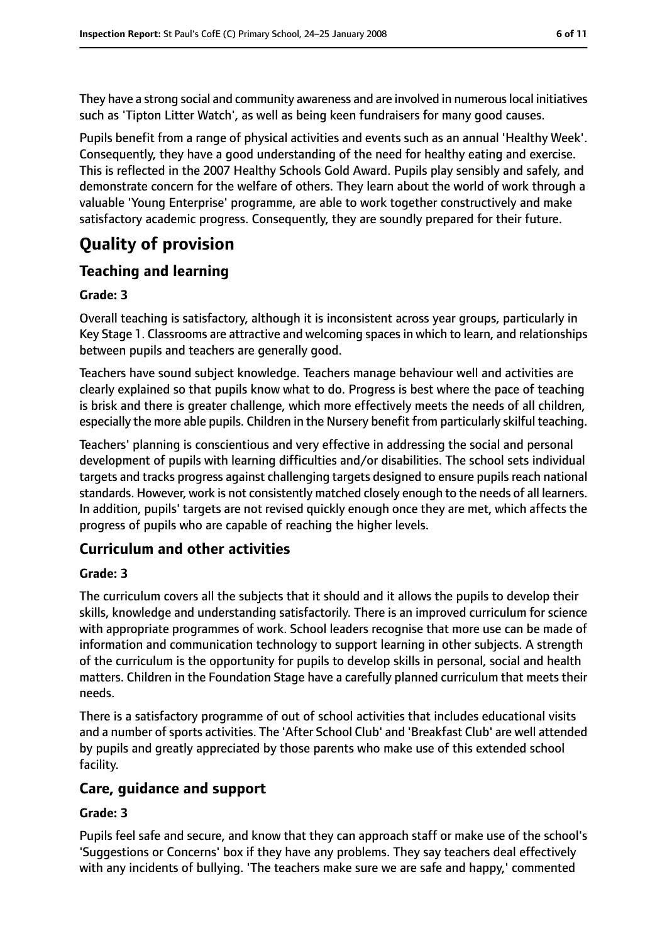They have a strong social and community awareness and are involved in numerouslocal initiatives such as 'Tipton Litter Watch', as well as being keen fundraisers for many good causes.

Pupils benefit from a range of physical activities and events such as an annual 'Healthy Week'. Consequently, they have a good understanding of the need for healthy eating and exercise. This is reflected in the 2007 Healthy Schools Gold Award. Pupils play sensibly and safely, and demonstrate concern for the welfare of others. They learn about the world of work through a valuable 'Young Enterprise' programme, are able to work together constructively and make satisfactory academic progress. Consequently, they are soundly prepared for their future.

# **Quality of provision**

#### **Teaching and learning**

#### **Grade: 3**

Overall teaching is satisfactory, although it is inconsistent across year groups, particularly in Key Stage 1. Classrooms are attractive and welcoming spacesin which to learn, and relationships between pupils and teachers are generally good.

Teachers have sound subject knowledge. Teachers manage behaviour well and activities are clearly explained so that pupils know what to do. Progress is best where the pace of teaching is brisk and there is greater challenge, which more effectively meets the needs of all children, especially the more able pupils. Children in the Nursery benefit from particularly skilful teaching.

Teachers' planning is conscientious and very effective in addressing the social and personal development of pupils with learning difficulties and/or disabilities. The school sets individual targets and tracks progress against challenging targets designed to ensure pupils reach national standards. However, work is not consistently matched closely enough to the needs of all learners. In addition, pupils' targets are not revised quickly enough once they are met, which affects the progress of pupils who are capable of reaching the higher levels.

#### **Curriculum and other activities**

#### **Grade: 3**

The curriculum covers all the subjects that it should and it allows the pupils to develop their skills, knowledge and understanding satisfactorily. There is an improved curriculum for science with appropriate programmes of work. School leaders recognise that more use can be made of information and communication technology to support learning in other subjects. A strength of the curriculum is the opportunity for pupils to develop skills in personal, social and health matters. Children in the Foundation Stage have a carefully planned curriculum that meets their needs.

There is a satisfactory programme of out of school activities that includes educational visits and a number of sports activities. The 'After School Club' and 'Breakfast Club' are well attended by pupils and greatly appreciated by those parents who make use of this extended school facility.

#### **Care, guidance and support**

#### **Grade: 3**

Pupils feel safe and secure, and know that they can approach staff or make use of the school's 'Suggestions or Concerns' box if they have any problems. They say teachers deal effectively with any incidents of bullying. 'The teachers make sure we are safe and happy,' commented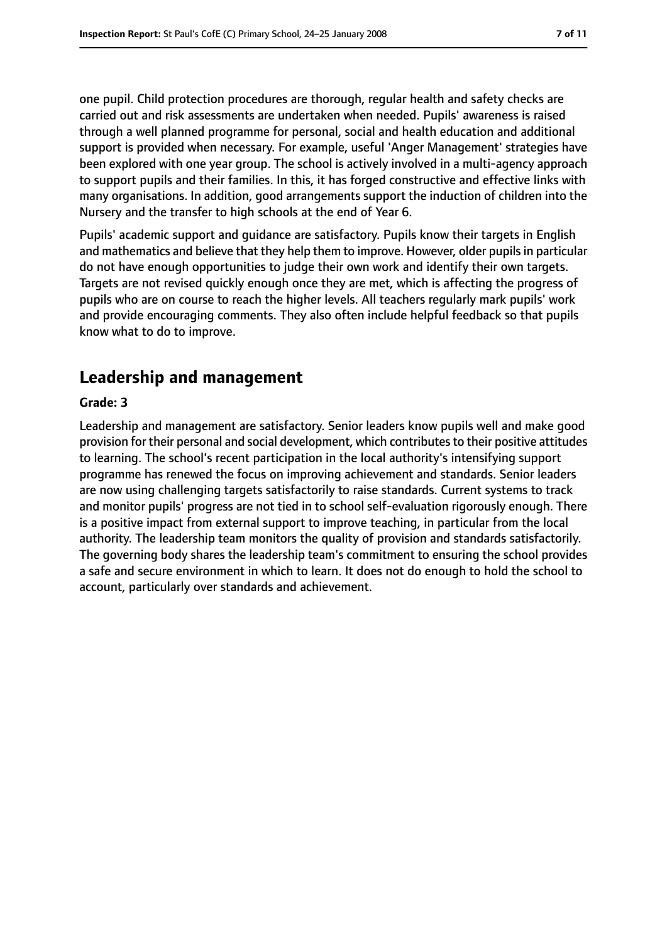one pupil. Child protection procedures are thorough, regular health and safety checks are carried out and risk assessments are undertaken when needed. Pupils' awareness is raised through a well planned programme for personal, social and health education and additional support is provided when necessary. For example, useful 'Anger Management' strategies have been explored with one year group. The school is actively involved in a multi-agency approach to support pupils and their families. In this, it has forged constructive and effective links with many organisations. In addition, good arrangements support the induction of children into the Nursery and the transfer to high schools at the end of Year 6.

Pupils' academic support and guidance are satisfactory. Pupils know their targets in English and mathematics and believe that they help them to improve. However, older pupils in particular do not have enough opportunities to judge their own work and identify their own targets. Targets are not revised quickly enough once they are met, which is affecting the progress of pupils who are on course to reach the higher levels. All teachers regularly mark pupils' work and provide encouraging comments. They also often include helpful feedback so that pupils know what to do to improve.

## **Leadership and management**

#### **Grade: 3**

Leadership and management are satisfactory. Senior leaders know pupils well and make good provision for their personal and social development, which contributesto their positive attitudes to learning. The school's recent participation in the local authority's intensifying support programme has renewed the focus on improving achievement and standards. Senior leaders are now using challenging targets satisfactorily to raise standards. Current systems to track and monitor pupils' progress are not tied in to school self-evaluation rigorously enough. There is a positive impact from external support to improve teaching, in particular from the local authority. The leadership team monitors the quality of provision and standards satisfactorily. The governing body shares the leadership team's commitment to ensuring the school provides a safe and secure environment in which to learn. It does not do enough to hold the school to account, particularly over standards and achievement.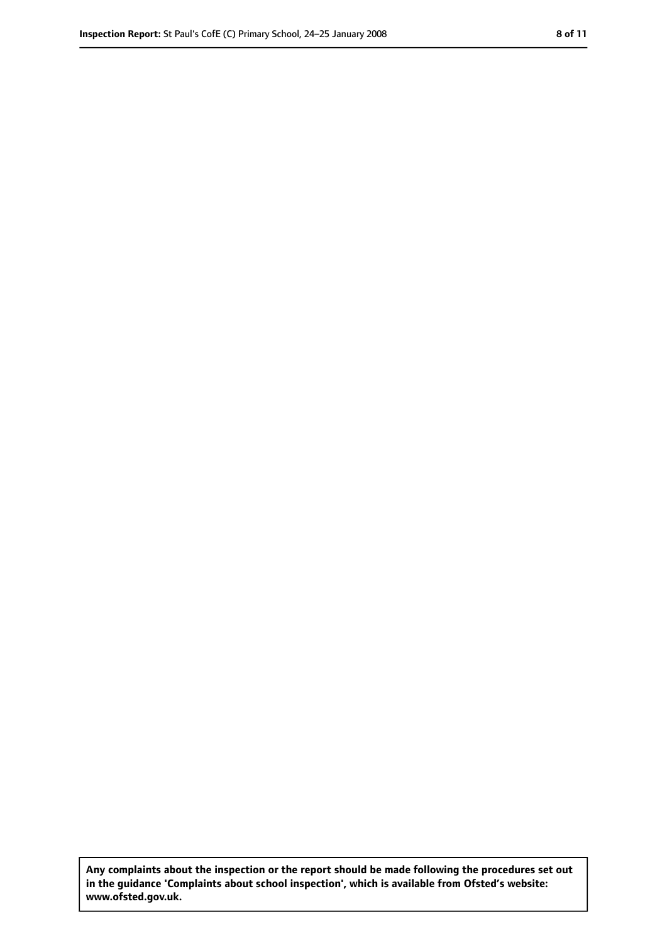**Any complaints about the inspection or the report should be made following the procedures set out in the guidance 'Complaints about school inspection', which is available from Ofsted's website: www.ofsted.gov.uk.**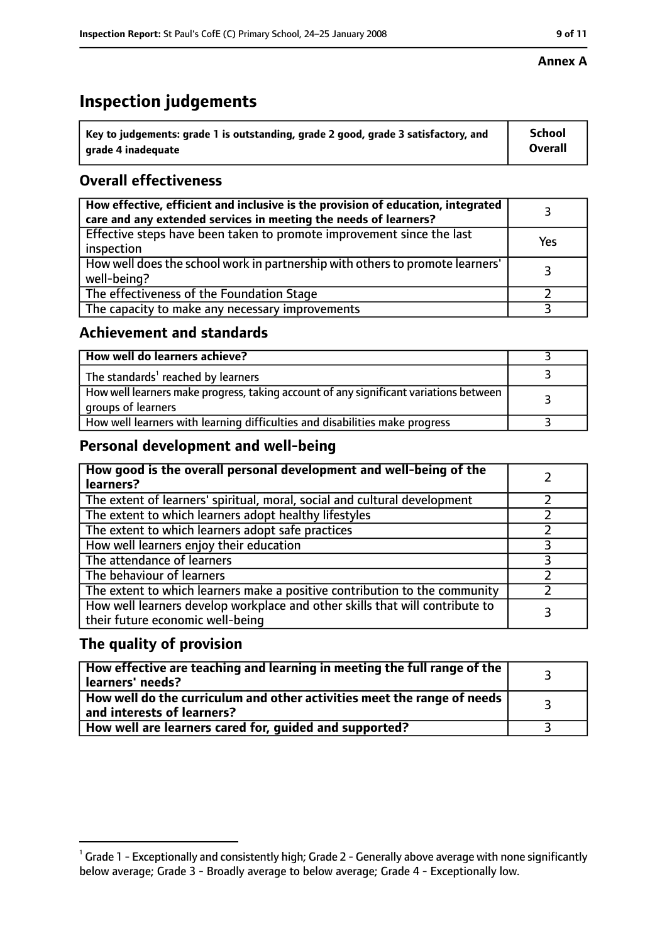## **Inspection judgements**

| $\dot{~}$ Key to judgements: grade 1 is outstanding, grade 2 good, grade 3 satisfactory, and | <b>School</b>  |
|----------------------------------------------------------------------------------------------|----------------|
| arade 4 inadequate                                                                           | <b>Overall</b> |

### **Overall effectiveness**

| How effective, efficient and inclusive is the provision of education, integrated<br>care and any extended services in meeting the needs of learners? |     |
|------------------------------------------------------------------------------------------------------------------------------------------------------|-----|
| Effective steps have been taken to promote improvement since the last<br>inspection                                                                  | Yes |
| How well does the school work in partnership with others to promote learners'<br>well-being?                                                         |     |
| The effectiveness of the Foundation Stage                                                                                                            |     |
| The capacity to make any necessary improvements                                                                                                      |     |

#### **Achievement and standards**

| How well do learners achieve?                                                                               |  |
|-------------------------------------------------------------------------------------------------------------|--|
| The standards <sup>1</sup> reached by learners                                                              |  |
| How well learners make progress, taking account of any significant variations between<br>groups of learners |  |
| How well learners with learning difficulties and disabilities make progress                                 |  |

#### **Personal development and well-being**

| How good is the overall personal development and well-being of the<br>learners?                                  |  |
|------------------------------------------------------------------------------------------------------------------|--|
| The extent of learners' spiritual, moral, social and cultural development                                        |  |
| The extent to which learners adopt healthy lifestyles                                                            |  |
| The extent to which learners adopt safe practices                                                                |  |
| How well learners enjoy their education                                                                          |  |
| The attendance of learners                                                                                       |  |
| The behaviour of learners                                                                                        |  |
| The extent to which learners make a positive contribution to the community                                       |  |
| How well learners develop workplace and other skills that will contribute to<br>their future economic well-being |  |

#### **The quality of provision**

| How effective are teaching and learning in meeting the full range of the<br>learners' needs?          |  |
|-------------------------------------------------------------------------------------------------------|--|
| How well do the curriculum and other activities meet the range of needs<br>and interests of learners? |  |
| How well are learners cared for, quided and supported?                                                |  |

#### **Annex A**

 $^1$  Grade 1 - Exceptionally and consistently high; Grade 2 - Generally above average with none significantly below average; Grade 3 - Broadly average to below average; Grade 4 - Exceptionally low.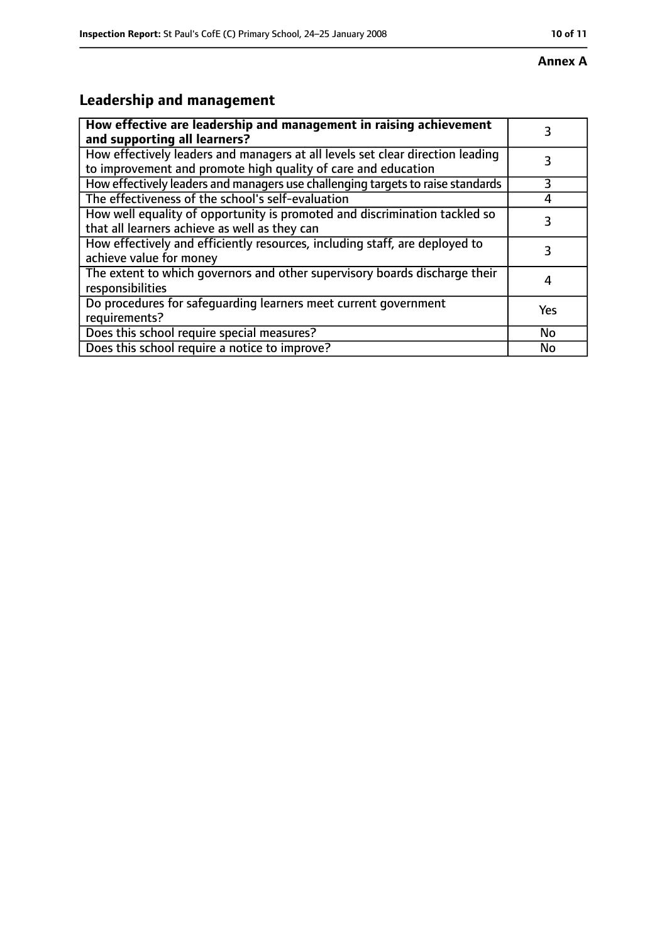#### **Annex A**

# **Leadership and management**

| How effective are leadership and management in raising achievement<br>and supporting all learners?                                              | 3         |
|-------------------------------------------------------------------------------------------------------------------------------------------------|-----------|
| How effectively leaders and managers at all levels set clear direction leading<br>to improvement and promote high quality of care and education |           |
| How effectively leaders and managers use challenging targets to raise standards                                                                 | 3         |
| The effectiveness of the school's self-evaluation                                                                                               | 4         |
| How well equality of opportunity is promoted and discrimination tackled so<br>that all learners achieve as well as they can                     | 3         |
| How effectively and efficiently resources, including staff, are deployed to<br>achieve value for money                                          | 3         |
| The extent to which governors and other supervisory boards discharge their<br>responsibilities                                                  | 4         |
| Do procedures for safequarding learners meet current government<br>requirements?                                                                | Yes       |
| Does this school require special measures?                                                                                                      | <b>No</b> |
| Does this school require a notice to improve?                                                                                                   | No        |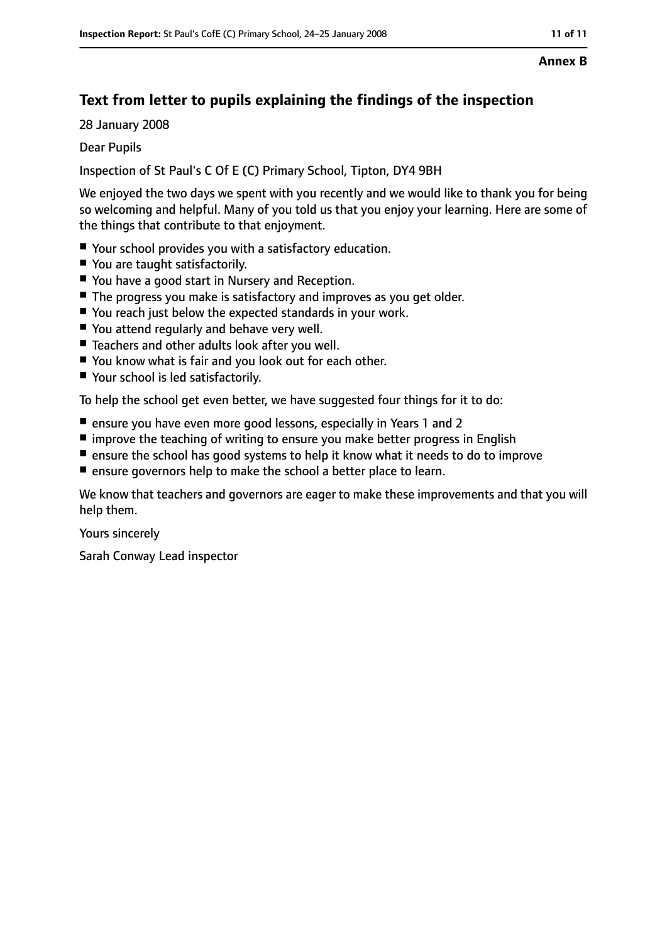## **Text from letter to pupils explaining the findings of the inspection**

28 January 2008

Dear Pupils

Inspection of St Paul's C Of E (C) Primary School, Tipton, DY4 9BH

We enjoyed the two days we spent with you recently and we would like to thank you for being so welcoming and helpful. Many of you told us that you enjoy your learning. Here are some of the things that contribute to that enjoyment.

- Your school provides you with a satisfactory education.
- You are taught satisfactorily.
- You have a good start in Nursery and Reception.
- The progress you make is satisfactory and improves as you get older.
- You reach just below the expected standards in your work.
- You attend regularly and behave very well.
- Teachers and other adults look after you well.
- You know what is fair and you look out for each other.
- Your school is led satisfactorily.

To help the school get even better, we have suggested four things for it to do:

- ensure you have even more good lessons, especially in Years 1 and 2
- improve the teaching of writing to ensure you make better progress in English
- ensure the school has good systems to help it know what it needs to do to improve
- ensure governors help to make the school a better place to learn.

We know that teachers and governors are eager to make these improvements and that you will help them.

Yours sincerely

Sarah Conway Lead inspector